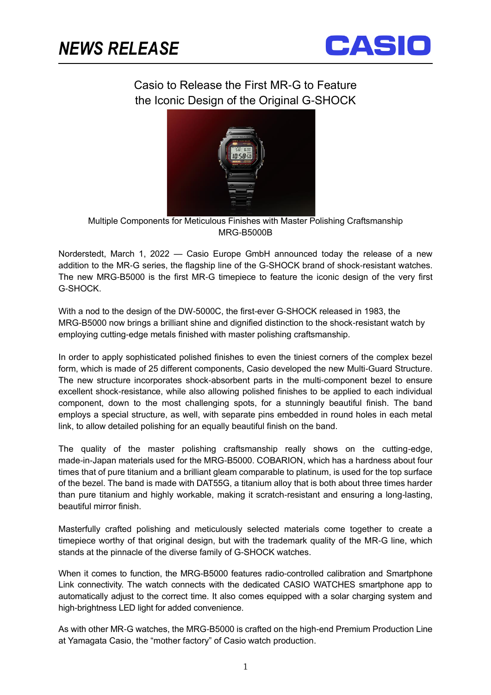ֺֺ



## Casio to Release the First MR-G to Feature the Iconic Design of the Original G-SHOCK



Multiple Components for Meticulous Finishes with Master Polishing Craftsmanship MRG-B5000B

Norderstedt, March 1, 2022 — Casio Europe GmbH announced today the release of a new addition to the MR-G series, the flagship line of the G-SHOCK brand of shock-resistant watches. The new MRG-B5000 is the first MR-G timepiece to feature the iconic design of the very first G-SHOCK.

With a nod to the design of the DW-5000C, the first-ever G-SHOCK released in 1983, the MRG-B5000 now brings a brilliant shine and dignified distinction to the shock-resistant watch by employing cutting-edge metals finished with master polishing craftsmanship.

In order to apply sophisticated polished finishes to even the tiniest corners of the complex bezel form, which is made of 25 different components, Casio developed the new Multi-Guard Structure. The new structure incorporates shock-absorbent parts in the multi-component bezel to ensure excellent shock-resistance, while also allowing polished finishes to be applied to each individual component, down to the most challenging spots, for a stunningly beautiful finish. The band employs a special structure, as well, with separate pins embedded in round holes in each metal link, to allow detailed polishing for an equally beautiful finish on the band.

The quality of the master polishing craftsmanship really shows on the cutting-edge, made-in-Japan materials used for the MRG-B5000. COBARION, which has a hardness about four times that of pure titanium and a brilliant gleam comparable to platinum, is used for the top surface of the bezel. The band is made with DAT55G, a titanium alloy that is both about three times harder than pure titanium and highly workable, making it scratch-resistant and ensuring a long-lasting, beautiful mirror finish.

Masterfully crafted polishing and meticulously selected materials come together to create a timepiece worthy of that original design, but with the trademark quality of the MR-G line, which stands at the pinnacle of the diverse family of G-SHOCK watches.

When it comes to function, the MRG-B5000 features radio-controlled calibration and Smartphone Link connectivity. The watch connects with the dedicated CASIO WATCHES smartphone app to automatically adjust to the correct time. It also comes equipped with a solar charging system and high-brightness LED light for added convenience.

As with other MR-G watches, the MRG-B5000 is crafted on the high-end Premium Production Line at Yamagata Casio, the "mother factory" of Casio watch production.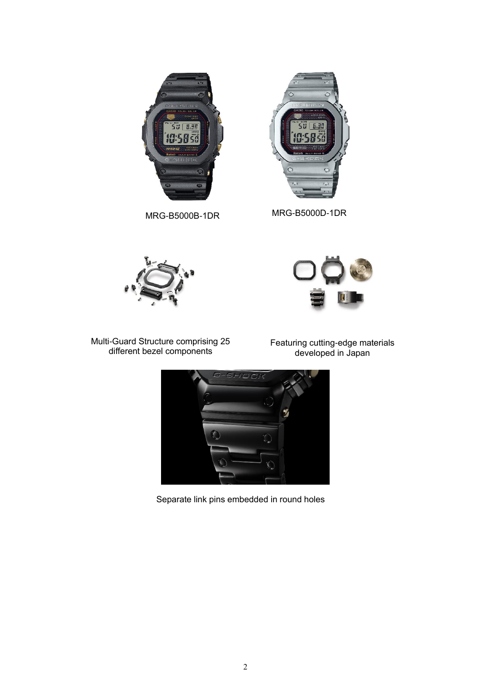



MRG-B5000B-1DR MRG-B5000D-1DR





Multi-Guard Structure comprising 25 different bezel components

Featuring cutting-edge materials developed in Japan



Separate link pins embedded in round holes